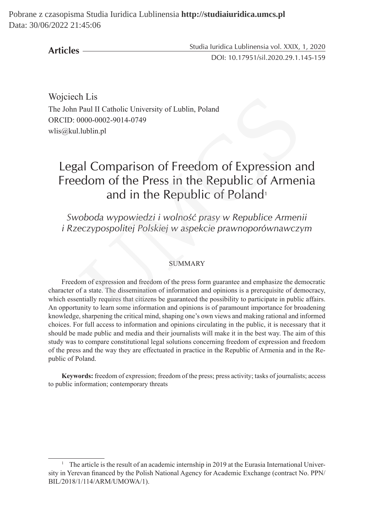Pobrane z czasopisma Studia Iuridica Lublinensia **http://studiaiuridica.umcs.pl** Data: 30/06/2022 21:45:06

**Articles**

Studia Iuridica Lublinensia vol. XXIX, 1, 2020 DOI: 10.17951/sil.2020.29.1.145-159

Wojciech Lis The John Paul II Catholic University of Lublin, Poland ORCID: 0000-0002-9014-0749 wlis@kul.lublin.pl

# Legal Comparison of Freedom of Expression and Freedom of the Press in the Republic of Armenia and in the Republic of Poland<sup>1</sup>

*Swoboda wypowiedzi i wolność prasy w Republice Armenii i Rzeczypospolitej Polskiej w aspekcie prawnoporównawczym*

## SUMMARY

Freedom of expression and freedom of the press form guarantee and emphasize the democratic character of a state. The dissemination of information and opinions is a prerequisite of democracy, which essentially requires that citizens be guaranteed the possibility to participate in public affairs. An opportunity to learn some information and opinions is of paramount importance for broadening knowledge, sharpening the critical mind, shaping one's own views and making rational and informed choices. For full access to information and opinions circulating in the public, it is necessary that it should be made public and media and their journalists will make it in the best way. The aim of this study was to compare constitutional legal solutions concerning freedom of expression and freedom of the press and the way they are effectuated in practice in the Republic of Armenia and in the Republic of Poland. Paul II Catholic University of Lublin, Poland<br>
2000-0002-9014-0749<br>
2000-0002-9014-0749<br>
2000-0002-9014-0749<br>
2000-0002-9014-0749<br>
2000-002-9014-0749<br>
2000-002-0014-0749<br>
2000-002-0014-0749<br>
2000-002-0011-0749<br>
2000-002-00

**Keywords:** freedom of expression; freedom of the press; press activity; tasks of journalists; access to public information; contemporary threats

<sup>&</sup>lt;sup>1</sup> The article is the result of an academic internship in 2019 at the Eurasia International University in Yerevan financed by the Polish National Agency for Academic Exchange (contract No. PPN/ BIL/2018/1/114/ARM/UMOWA/1).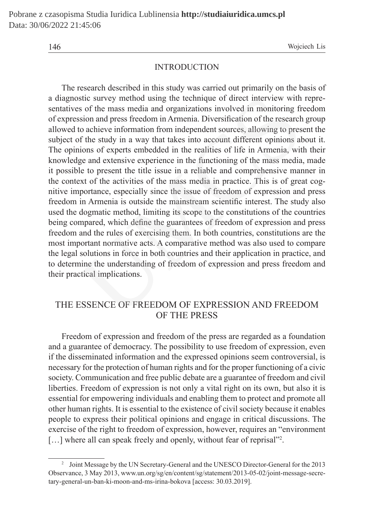146 Wojciech Lis

## INTRODUCTION

The research described in this study was carried out primarily on the basis of a diagnostic survey method using the technique of direct interview with representatives of the mass media and organizations involved in monitoring freedom of expression and press freedom in Armenia. Diversification of the research group allowed to achieve information from independent sources, allowing to present the subject of the study in a way that takes into account different opinions about it. The opinions of experts embedded in the realities of life in Armenia, with their knowledge and extensive experience in the functioning of the mass media, made it possible to present the title issue in a reliable and comprehensive manner in the context of the activities of the mass media in practice. This is of great cognitive importance, especially since the issue of freedom of expression and press freedom in Armenia is outside the mainstream scientific interest. The study also used the dogmatic method, limiting its scope to the constitutions of the countries being compared, which define the guarantees of freedom of expression and press freedom and the rules of exercising them. In both countries, constitutions are the most important normative acts. A comparative method was also used to compare the legal solutions in force in both countries and their application in practice, and to determine the understanding of freedom of expression and press freedom and their practical implications. stic survey method using the technique of direct interview with<br>so f the mass media and organizations involved in monitoring fr<br>sion and press freedom in Armenia. Diversification of the research<br>to achieve information from

## THE ESSENCE OF FREEDOM OF EXPRESSION AND FREEDOM OF THE PRESS

Freedom of expression and freedom of the press are regarded as a foundation and a guarantee of democracy. The possibility to use freedom of expression, even if the disseminated information and the expressed opinions seem controversial, is necessary for the protection of human rights and for the proper functioning of a civic society. Communication and free public debate are a guarantee of freedom and civil liberties. Freedom of expression is not only a vital right on its own, but also it is essential for empowering individuals and enabling them to protect and promote all other human rights. It is essential to the existence of civil society because it enables people to express their political opinions and engage in critical discussions. The exercise of the right to freedom of expression, however, requires an "environment [...] where all can speak freely and openly, without fear of reprisal"<sup>2</sup>.

<sup>&</sup>lt;sup>2</sup> Joint Message by the UN Secretary-General and the UNESCO Director-General for the 2013 Observance, 3 May 2013, www.un.org/sg/en/content/sg/statement/2013-05-02/joint-message-secretary-general-un-ban-ki-moon-and-ms-irina-bokova [access: 30.03.2019].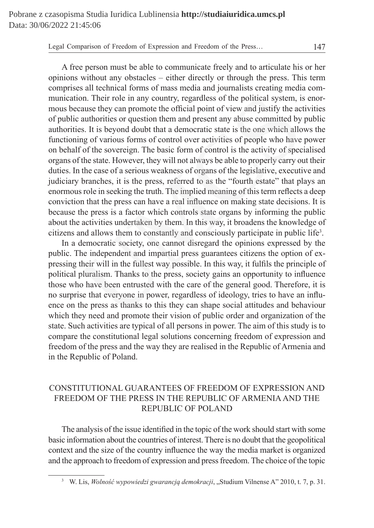A free person must be able to communicate freely and to articulate his or her opinions without any obstacles – either directly or through the press. This term comprises all technical forms of mass media and journalists creating media communication. Their role in any country, regardless of the political system, is enormous because they can promote the official point of view and justify the activities of public authorities or question them and present any abuse committed by public authorities. It is beyond doubt that a democratic state is the one which allows the functioning of various forms of control over activities of people who have power on behalf of the sovereign. The basic form of control is the activity of specialised organs of the state. However, they will not always be able to properly carry out their duties. In the case of a serious weakness of organs of the legislative, executive and judiciary branches, it is the press, referred to as the "fourth estate" that plays an enormous role in seeking the truth. The implied meaning of this term reflects a deep conviction that the press can have a real influence on making state decisions. It is because the press is a factor which controls state organs by informing the public about the activities undertaken by them. In this way, it broadens the knowledge of citizens and allows them to constantly and consciously participate in public life<sup>3</sup> . ion. Their role in any country, regardless of the political system, is<br>cause they can promote the official point of view and justify the ac<br>authrities or question then and present any abuse committed by<br>ess. It is beyond d

In a democratic society, one cannot disregard the opinions expressed by the public. The independent and impartial press guarantees citizens the option of expressing their will in the fullest way possible. In this way, it fulfils the principle of political pluralism. Thanks to the press, society gains an opportunity to influence those who have been entrusted with the care of the general good. Therefore, it is no surprise that everyone in power, regardless of ideology, tries to have an influence on the press as thanks to this they can shape social attitudes and behaviour which they need and promote their vision of public order and organization of the state. Such activities are typical of all persons in power. The aim of this study is to compare the constitutional legal solutions concerning freedom of expression and freedom of the press and the way they are realised in the Republic of Armenia and in the Republic of Poland.

# CONSTITUTIONAL GUARANTEES OF FREEDOM OF EXPRESSION AND FREEDOM OF THE PRESS IN THE REPUBLIC OF ARMENIA AND THE REPUBLIC OF POLAND

The analysis of the issue identified in the topic of the work should start with some basic information about the countries of interest. There is no doubt that the geopolitical context and the size of the country influence the way the media market is organized and the approach to freedom of expression and press freedom. The choice of the topic

<sup>&</sup>lt;sup>3</sup> W. Lis, *Wolność wypowiedzi gwarancją demokracji*, "Studium Vilnense A" 2010, t. 7, p. 31.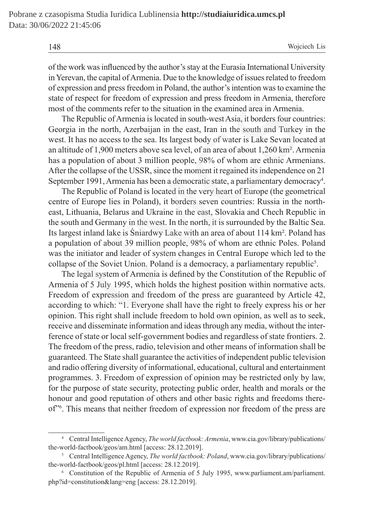of the work was influenced by the author's stay at the Eurasia International University in Yerevan, the capital of Armenia. Due to the knowledge of issues related to freedom of expression and press freedom in Poland, the author's intention was to examine the state of respect for freedom of expression and press freedom in Armenia, therefore most of the comments refer to the situation in the examined area in Armenia.

The Republic of Armenia is located in south-west Asia, it borders four countries: Georgia in the north, Azerbaijan in the east, Iran in the south and Turkey in the west. It has no access to the sea. Its largest body of water is Lake Sevan located at an altitude of 1,900 meters above sea level, of an area of about 1,260 km². Armenia has a population of about 3 million people, 98% of whom are ethnic Armenians. After the collapse of the USSR, since the moment it regained its independence on 21 September 1991, Armenia has been a democratic state, a parliamentary democracy<sup>4</sup>.

The Republic of Poland is located in the very heart of Europe (the geometrical centre of Europe lies in Poland), it borders seven countries: Russia in the northeast, Lithuania, Belarus and Ukraine in the east, Slovakia and Chech Republic in the south and Germany in the west. In the north, it is surrounded by the Baltic Sea. Its largest inland lake is Śniardwy Lake with an area of about 114 km². Poland has a population of about 39 million people, 98% of whom are ethnic Poles. Poland was the initiator and leader of system changes in Central Europe which led to the collapse of the Soviet Union. Poland is a democracy, a parliamentary republic<sup>5</sup>. espect for freedom of expression and press freedom in Armenia, the<br>he comments refer to the situation in the examined area in Armenia<br>Republic of Armenia is located in south-west Asia, it borders four cou<br>in the north, Aze

The legal system of Armenia is defined by the Constitution of the Republic of Armenia of 5 July 1995, which holds the highest position within normative acts. Freedom of expression and freedom of the press are guaranteed by Article 42, according to which: "1. Everyone shall have the right to freely express his or her opinion. This right shall include freedom to hold own opinion, as well as to seek, receive and disseminate information and ideas through any media, without the interference of state or local self-government bodies and regardless of state frontiers. 2. The freedom of the press, radio, television and other means of information shall be guaranteed. The State shall guarantee the activities of independent public television and radio offering diversity of informational, educational, cultural and entertainment programmes. 3. Freedom of expression of opinion may be restricted only by law, for the purpose of state security, protecting public order, health and morals or the honour and good reputation of others and other basic rights and freedoms thereof"6 . This means that neither freedom of expression nor freedom of the press are

<sup>4</sup> Central Intelligence Agency, *The world factbook: Armenia*, www.cia.gov/library/publications/ the-world-factbook/geos/am.html [access: 28.12.2019].

<sup>5</sup> Central Intelligence Agency, *The world factbook: Poland*, www.cia.gov/library/publications/ the-world-factbook/geos/pl.html [access: 28.12.2019].

<sup>6</sup> Constitution of the Republic of Armenia of 5 July 1995, www.parliament.am/parliament. php?id=constitution&lang=eng [access: 28.12.2019].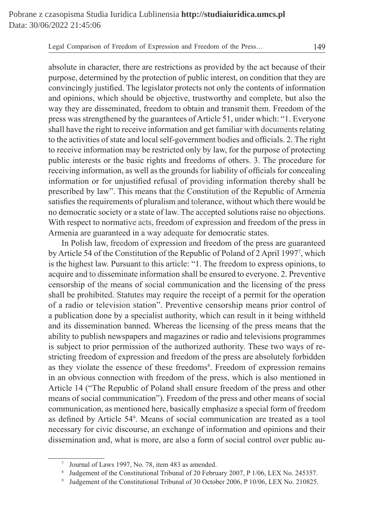absolute in character, there are restrictions as provided by the act because of their purpose, determined by the protection of public interest, on condition that they are convincingly justified. The legislator protects not only the contents of information and opinions, which should be objective, trustworthy and complete, but also the way they are disseminated, freedom to obtain and transmit them. Freedom of the press was strengthened by the guarantees of Article 51, under which: "1. Everyone shall have the right to receive information and get familiar with documents relating to the activities of state and local self-government bodies and officials. 2. The right to receive information may be restricted only by law, for the purpose of protecting public interests or the basic rights and freedoms of others. 3. The procedure for receiving information, as well as the grounds for liability of officials for concealing information or for unjustified refusal of providing information thereby shall be prescribed by law". This means that the Constitution of the Republic of Armenia satisfies the requirements of pluralism and tolerance, without which there would be no democratic society or a state of law. The accepted solutions raise no objections. With respect to normative acts, freedom of expression and freedom of the press in Armenia are guaranteed in a way adequate for democratic states. ions, which should be objective, trustworthy and complete, but a<br>v are disseminated, freedom to obtain and transmit them. Freedom<br>s strengthened by the guarantees of Article 51, under which: "1. Eve<br>the right to receive in

In Polish law, freedom of expression and freedom of the press are guaranteed by Article 54 of the Constitution of the Republic of Poland of 2 April 1997<sup>7</sup> , which is the highest law. Pursuant to this article: "1. The freedom to express opinions, to acquire and to disseminate information shall be ensured to everyone. 2. Preventive censorship of the means of social communication and the licensing of the press shall be prohibited. Statutes may require the receipt of a permit for the operation of a radio or television station". Preventive censorship means prior control of a publication done by a specialist authority, which can result in it being withheld and its dissemination banned. Whereas the licensing of the press means that the ability to publish newspapers and magazines or radio and televisions programmes is subject to prior permission of the authorized authority. These two ways of restricting freedom of expression and freedom of the press are absolutely forbidden as they violate the essence of these freedoms<sup>8</sup>. Freedom of expression remains in an obvious connection with freedom of the press, which is also mentioned in Article 14 ("The Republic of Poland shall ensure freedom of the press and other means of social communication"). Freedom of the press and other means of social communication, as mentioned here, basically emphasize a special form of freedom as defined by Article 54<sup>9</sup> . Means of social communication are treated as a tool necessary for civic discourse, an exchange of information and opinions and their dissemination and, what is more, are also a form of social control over public au-

<sup>7</sup> Journal of Laws 1997, No. 78, item 483 as amended.

<sup>8</sup> Judgement of the Constitutional Tribunal of 20 February 2007, P 1/06, LEX No. 245357.

<sup>9</sup> Judgement of the Constitutional Tribunal of 30 October 2006, P 10/06, LEX No. 210825.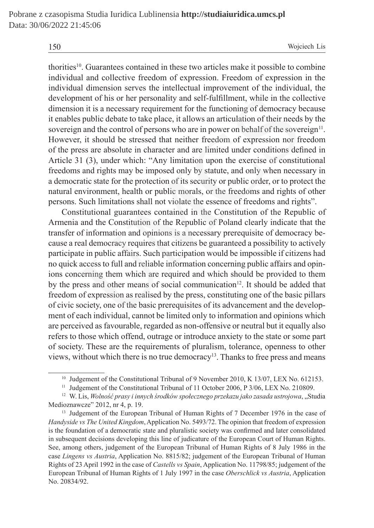thorities10. Guarantees contained in these two articles make it possible to combine individual and collective freedom of expression. Freedom of expression in the individual dimension serves the intellectual improvement of the individual, the development of his or her personality and self-fulfillment, while in the collective dimension it is a necessary requirement for the functioning of democracy because it enables public debate to take place, it allows an articulation of their needs by the sovereign and the control of persons who are in power on behalf of the sovereign<sup>11</sup>. However, it should be stressed that neither freedom of expression nor freedom of the press are absolute in character and are limited under conditions defined in Article 31 (3), under which: "Any limitation upon the exercise of constitutional freedoms and rights may be imposed only by statute, and only when necessary in a democratic state for the protection of its security or public order, or to protect the natural environment, health or public morals, or the freedoms and rights of other persons. Such limitations shall not violate the essence of freedoms and rights".

Constitutional guarantees contained in the Constitution of the Republic of Armenia and the Constitution of the Republic of Poland clearly indicate that the transfer of information and opinions is a necessary prerequisite of democracy because a real democracy requires that citizens be guaranteed a possibility to actively participate in public affairs. Such participation would be impossible if citizens had no quick access to full and reliable information concerning public affairs and opinions concerning them which are required and which should be provided to them by the press and other means of social communication<sup>12</sup>. It should be added that freedom of expression as realised by the press, constituting one of the basic pillars of civic society, one of the basic prerequisites of its advancement and the development of each individual, cannot be limited only to information and opinions which are perceived as favourable, regarded as non-offensive or neutral but it equally also refers to those which offend, outrage or introduce anxiety to the state or some part of society. These are the requirements of pluralism, tolerance, openness to other views, without which there is no true democracy<sup>13</sup>. Thanks to free press and means ment of his or her personality and self-fulfillment, while in the col<br>on it is a necessary requirement for the functioning of democracy b<br>s public debate to take place, it allows an articulation of their needs<br>on and the c

<sup>&</sup>lt;sup>10</sup> Judgement of the Constitutional Tribunal of 9 November 2010, K 13/07, LEX No. 612153.

<sup>&</sup>lt;sup>11</sup> Judgement of the Constitutional Tribunal of 11 October 2006, P 3/06, LEX No. 210809.

<sup>12</sup> W. Lis, *Wolność prasy i innych środków społecznego przekazu jako zasada ustrojowa*, "Studia Medioznawcze" 2012, nr 4, p. 19.

<sup>&</sup>lt;sup>13</sup> Judgement of the European Tribunal of Human Rights of 7 December 1976 in the case of *Handyside vs The United Kingdom*, Application No. 5493/72. The opinion that freedom of expression is the foundation of a democratic state and pluralistic society was confirmed and later consolidated in subsequent decisions developing this line of judicature of the European Court of Human Rights. See, among others, judgement of the European Tribunal of Human Rights of 8 July 1986 in the case *Lingens vs Austria*, Application No. 8815/82; judgement of the European Tribunal of Human Rights of 23 April 1992 in the case of *Castells vs Spain*, Application No. 11798/85; judgement of the European Tribunal of Human Rights of 1 July 1997 in the case *Oberschlick vs Austria*, Application No. 20834/92.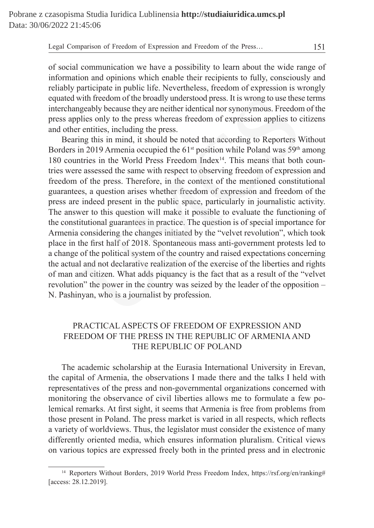of social communication we have a possibility to learn about the wide range of information and opinions which enable their recipients to fully, consciously and reliably participate in public life. Nevertheless, freedom of expression is wrongly equated with freedom of the broadly understood press. It is wrong to use these terms interchangeably because they are neither identical nor synonymous. Freedom of the press applies only to the press whereas freedom of expression applies to citizens and other entities, including the press.

Bearing this in mind, it should be noted that according to Reporters Without Borders in 2019 Armenia occupied the  $61<sup>st</sup>$  position while Poland was  $59<sup>th</sup>$  among 180 countries in the World Press Freedom Index<sup>14</sup>. This means that both countries were assessed the same with respect to observing freedom of expression and freedom of the press. Therefore, in the context of the mentioned constitutional guarantees, a question arises whether freedom of expression and freedom of the press are indeed present in the public space, particularly in journalistic activity. The answer to this question will make it possible to evaluate the functioning of the constitutional guarantees in practice. The question is of special importance for Armenia considering the changes initiated by the "velvet revolution", which took place in the first half of 2018. Spontaneous mass anti-government protests led to a change of the political system of the country and raised expectations concerning the actual and not declarative realization of the exercise of the liberties and rights of man and citizen. What adds piquancy is the fact that as a result of the "velvet revolution" the power in the country was seized by the leader of the opposition – N. Pashinyan, who is a journalist by profession. with freedom of the broadly understood press. It is wrong to use these<br>geably because they are neither identical nor synonymous. Freedom<br>plies only to the press whereas freedom of expression applies to c<br>retritties, inclu

# PRACTICAL ASPECTS OF FREEDOM OF EXPRESSION AND FREEDOM OF THE PRESS IN THE REPUBLIC OF ARMENIA AND THE REPUBLIC OF POLAND

The academic scholarship at the Eurasia International University in Erevan, the capital of Armenia, the observations I made there and the talks I held with representatives of the press and non-governmental organizations concerned with monitoring the observance of civil liberties allows me to formulate a few polemical remarks. At first sight, it seems that Armenia is free from problems from those present in Poland. The press market is varied in all respects, which reflects a variety of worldviews. Thus, the legislator must consider the existence of many differently oriented media, which ensures information pluralism. Critical views on various topics are expressed freely both in the printed press and in electronic

<sup>&</sup>lt;sup>14</sup> Reporters Without Borders, 2019 World Press Freedom Index, https://rsf.org/en/ranking# [access: 28.12.2019].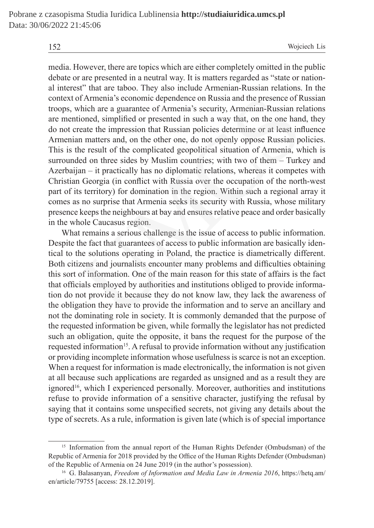media. However, there are topics which are either completely omitted in the public debate or are presented in a neutral way. It is matters regarded as "state or national interest" that are taboo. They also include Armenian-Russian relations. In the context of Armenia's economic dependence on Russia and the presence of Russian troops, which are a guarantee of Armenia's security, Armenian-Russian relations are mentioned, simplified or presented in such a way that, on the one hand, they do not create the impression that Russian policies determine or at least influence Armenian matters and, on the other one, do not openly oppose Russian policies. This is the result of the complicated geopolitical situation of Armenia, which is surrounded on three sides by Muslim countries; with two of them – Turkey and Azerbaijan – it practically has no diplomatic relations, whereas it competes with Christian Georgia (in conflict with Russia over the occupation of the north-west part of its territory) for domination in the region. Within such a regional array it comes as no surprise that Armenia seeks its security with Russia, whose military presence keeps the neighbours at bay and ensures relative peace and order basically in the whole Caucasus region. of Armenia's economic dependence on Russia and the presence of R<br>which are a guarantee of Armenia's security, Armenian-Russian re<br>ioned, simplified or presented in such a way that, on the one hand<br>reate the impression that

What remains a serious challenge is the issue of access to public information. Despite the fact that guarantees of access to public information are basically identical to the solutions operating in Poland, the practice is diametrically different. Both citizens and journalists encounter many problems and difficulties obtaining this sort of information. One of the main reason for this state of affairs is the fact that officials employed by authorities and institutions obliged to provide information do not provide it because they do not know law, they lack the awareness of the obligation they have to provide the information and to serve an ancillary and not the dominating role in society. It is commonly demanded that the purpose of the requested information be given, while formally the legislator has not predicted such an obligation, quite the opposite, it bans the request for the purpose of the requested information<sup>15</sup>. A refusal to provide information without any justification or providing incomplete information whose usefulness is scarce is not an exception. When a request for information is made electronically, the information is not given at all because such applications are regarded as unsigned and as a result they are ignored<sup>16</sup>, which I experienced personally. Moreover, authorities and institutions refuse to provide information of a sensitive character, justifying the refusal by saying that it contains some unspecified secrets, not giving any details about the type of secrets. As a rule, information is given late (which is of special importance

<sup>&</sup>lt;sup>15</sup> Information from the annual report of the Human Rights Defender (Ombudsman) of the Republic of Armenia for 2018 provided by the Office of the Human Rights Defender (Ombudsman) of the Republic of Armenia on 24 June 2019 (in the author's possession).

<sup>16</sup> G. Balasanyan, *Freedom of Information and Media Law in Armenia 2016*, https://hetq.am/ en/article/79755 [access: 28.12.2019].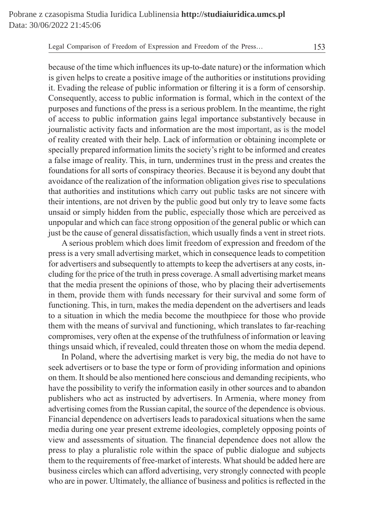because of the time which influences its up-to-date nature) or the information which is given helps to create a positive image of the authorities or institutions providing it. Evading the release of public information or filtering it is a form of censorship. Consequently, access to public information is formal, which in the context of the purposes and functions of the press is a serious problem. In the meantime, the right of access to public information gains legal importance substantively because in journalistic activity facts and information are the most important, as is the model of reality created with their help. Lack of information or obtaining incomplete or specially prepared information limits the society's right to be informed and creates a false image of reality. This, in turn, undermines trust in the press and creates the foundations for all sorts of conspiracy theories. Because it is beyond any doubt that avoidance of the realization of the information obligation gives rise to speculations that authorities and institutions which carry out public tasks are not sincere with their intentions, are not driven by the public good but only try to leave some facts unsaid or simply hidden from the public, especially those which are perceived as unpopular and which can face strong opposition of the general public or which can just be the cause of general dissatisfaction, which usually finds a vent in street riots. ently, access to public information is formal, which in the context<br>and functions of the press is a serious problem. In the meantime, th<br>to public information gains legal importance substantively because<br>tric activity fact

A serious problem which does limit freedom of expression and freedom of the press is a very small advertising market, which in consequence leads to competition for advertisers and subsequently to attempts to keep the advertisers at any costs, including for the price of the truth in press coverage. Asmall advertising market means that the media present the opinions of those, who by placing their advertisements in them, provide them with funds necessary for their survival and some form of functioning. This, in turn, makes the media dependent on the advertisers and leads to a situation in which the media become the mouthpiece for those who provide them with the means of survival and functioning, which translates to far-reaching compromises, very often at the expense of the truthfulness of information or leaving things unsaid which, if revealed, could threaten those on whom the media depend.

In Poland, where the advertising market is very big, the media do not have to seek advertisers or to base the type or form of providing information and opinions on them. It should be also mentioned here conscious and demanding recipients, who have the possibility to verify the information easily in other sources and to abandon publishers who act as instructed by advertisers. In Armenia, where money from advertising comes from the Russian capital, the source of the dependence is obvious. Financial dependence on advertisers leads to paradoxical situations when the same media during one year present extreme ideologies, completely opposing points of view and assessments of situation. The financial dependence does not allow the press to play a pluralistic role within the space of public dialogue and subjects them to the requirements of free-market of interests. What should be added here are business circles which can afford advertising, very strongly connected with people who are in power. Ultimately, the alliance of business and politics is reflected in the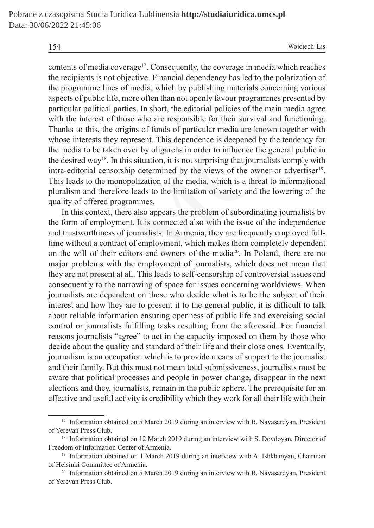contents of media coverage<sup>17</sup>. Consequently, the coverage in media which reaches the recipients is not objective. Financial dependency has led to the polarization of the programme lines of media, which by publishing materials concerning various aspects of public life, more often than not openly favour programmes presented by particular political parties. In short, the editorial policies of the main media agree with the interest of those who are responsible for their survival and functioning. Thanks to this, the origins of funds of particular media are known together with whose interests they represent. This dependence is deepened by the tendency for the media to be taken over by oligarchs in order to influence the general public in the desired way<sup>18</sup>. In this situation, it is not surprising that journalists comply with intra-editorial censorship determined by the views of the owner or advertiser<sup>19</sup>. This leads to the monopolization of the media, which is a threat to informational pluralism and therefore leads to the limitation of variety and the lowering of the quality of offered programmes.

In this context, there also appears the problem of subordinating journalists by the form of employment. It is connected also with the issue of the independence and trustworthiness of journalists. In Armenia, they are frequently employed fulltime without a contract of employment, which makes them completely dependent on the will of their editors and owners of the media20. In Poland, there are no major problems with the employment of journalists, which does not mean that they are not present at all. This leads to self-censorship of controversial issues and consequently to the narrowing of space for issues concerning worldviews. When journalists are dependent on those who decide what is to be the subject of their interest and how they are to present it to the general public, it is difficult to talk about reliable information ensuring openness of public life and exercising social control or journalists fulfilling tasks resulting from the aforesaid. For financial reasons journalists "agree" to act in the capacity imposed on them by those who decide about the quality and standard of their life and their close ones. Eventually, journalism is an occupation which is to provide means of support to the journalist and their family. But this must not mean total submissiveness, journalists must be aware that political processes and people in power change, disappear in the next elections and they, journalists, remain in the public sphere. The prerequisite for an effective and useful activity is credibility which they work for all their life with their If public life, more often than not openly favour programmes preser<br>r political parties. In short, the editorial policies of the main media<br>interest of those who are responsible for their survival and functio<br>therests the

<sup>&</sup>lt;sup>17</sup> Information obtained on 5 March 2019 during an interview with B. Navasardyan, President of Yerevan Press Club.

<sup>&</sup>lt;sup>18</sup> Information obtained on 12 March 2019 during an interview with S. Doydoyan, Director of Freedom of Information Center of Armenia.

<sup>&</sup>lt;sup>19</sup> Information obtained on 1 March 2019 during an interview with A. Ishkhanyan, Chairman of Helsinki Committee of Armenia.

<sup>&</sup>lt;sup>20</sup> Information obtained on 5 March 2019 during an interview with B. Navasardyan, President of Yerevan Press Club.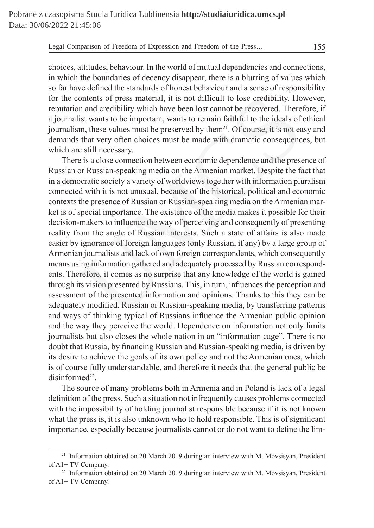choices, attitudes, behaviour. In the world of mutual dependencies and connections, in which the boundaries of decency disappear, there is a blurring of values which so far have defined the standards of honest behaviour and a sense of responsibility for the contents of press material, it is not difficult to lose credibility. However, reputation and credibility which have been lost cannot be recovered. Therefore, if a journalist wants to be important, wants to remain faithful to the ideals of ethical journalism, these values must be preserved by them<sup>21</sup>. Of course, it is not easy and demands that very often choices must be made with dramatic consequences, but which are still necessary.

There is a close connection between economic dependence and the presence of Russian or Russian-speaking media on the Armenian market. Despite the fact that in a democratic society a variety of worldviews together with information pluralism connected with it is not unusual, because of the historical, political and economic contexts the presence of Russian or Russian-speaking media on the Armenian market is of special importance. The existence of the media makes it possible for their decision-makers to influence the way of perceiving and consequently of presenting reality from the angle of Russian interests. Such a state of affairs is also made easier by ignorance of foreign languages (only Russian, if any) by a large group of Armenian journalists and lack of own foreign correspondents, which consequently means using information gathered and adequately processed by Russian correspondents. Therefore, it comes as no surprise that any knowledge of the world is gained through its vision presented by Russians. This, in turn, influences the perception and assessment of the presented information and opinions. Thanks to this they can be adequately modified. Russian or Russian-speaking media, by transferring patterns and ways of thinking typical of Russians influence the Armenian public opinion and the way they perceive the world. Dependence on information not only limits journalists but also closes the whole nation in an "information cage". There is no doubt that Russia, by financing Russian and Russian-speaking media, is driven by its desire to achieve the goals of its own policy and not the Armenian ones, which is of course fully understandable, and therefore it needs that the general public be  $disinformed<sup>22</sup>$ . ontents of press material, it is not difficult to lose credibility. Ho<br>m and credibility which have been lost cannot be recovered. There<br>ist wants to be important, wants to remain faithful to the ideals of<br>m, these values

The source of many problems both in Armenia and in Poland is lack of a legal definition of the press. Such a situation not infrequently causes problems connected with the impossibility of holding journalist responsible because if it is not known what the press is, it is also unknown who to hold responsible. This is of significant importance, especially because journalists cannot or do not want to define the lim-

<sup>&</sup>lt;sup>21</sup> Information obtained on 20 March 2019 during an interview with M. Movsisyan, President of A1+ TV Company.

<sup>&</sup>lt;sup>22</sup> Information obtained on 20 March 2019 during an interview with M. Movsisyan, President of A1+ TV Company.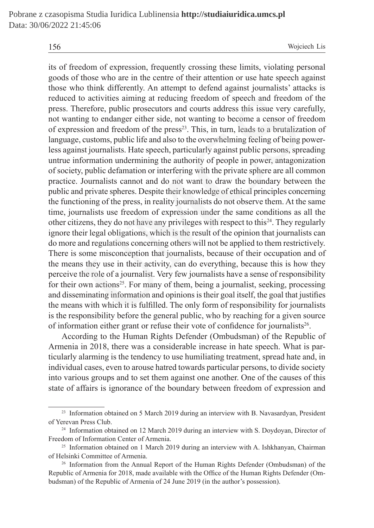its of freedom of expression, frequently crossing these limits, violating personal goods of those who are in the centre of their attention or use hate speech against those who think differently. An attempt to defend against journalists' attacks is reduced to activities aiming at reducing freedom of speech and freedom of the press. Therefore, public prosecutors and courts address this issue very carefully, not wanting to endanger either side, not wanting to become a censor of freedom of expression and freedom of the press<sup>23</sup>. This, in turn, leads to a brutalization of language, customs, public life and also to the overwhelming feeling of being powerless against journalists. Hate speech, particularly against public persons, spreading untrue information undermining the authority of people in power, antagonization of society, public defamation or interfering with the private sphere are all common practice. Journalists cannot and do not want to draw the boundary between the public and private spheres. Despite their knowledge of ethical principles concerning the functioning of the press, in reality journalists do not observe them. At the same time, journalists use freedom of expression under the same conditions as all the other citizens, they do not have any privileges with respect to this<sup>24</sup>. They regularly ignore their legal obligations, which is the result of the opinion that journalists can do more and regulations concerning others will not be applied to them restrictively. There is some misconception that journalists, because of their occupation and of the means they use in their activity, can do everything, because this is how they perceive the role of a journalist. Very few journalists have a sense of responsibility for their own actions<sup>25</sup>. For many of them, being a journalist, seeking, processing and disseminating information and opinions is their goal itself, the goal that justifies the means with which it is fulfilled. The only form of responsibility for journalists is the responsibility before the general public, who by reaching for a given source of information either grant or refuse their vote of confidence for journalists<sup>26</sup>. to activities aiming at reducing freedom of speech and freedom<br>nerefore, public prosecutors and courts address this issue very car<br>ing to endanger either side, not wanting to become a censor of fr<br>sission and freedom of th

According to the Human Rights Defender (Ombudsman) of the Republic of Armenia in 2018, there was a considerable increase in hate speech. What is particularly alarming is the tendency to use humiliating treatment, spread hate and, in individual cases, even to arouse hatred towards particular persons, to divide society into various groups and to set them against one another. One of the causes of this state of affairs is ignorance of the boundary between freedom of expression and

<sup>&</sup>lt;sup>23</sup> Information obtained on 5 March 2019 during an interview with B. Navasardyan, President of Yerevan Press Club.

<sup>&</sup>lt;sup>24</sup> Information obtained on 12 March 2019 during an interview with S. Doydoyan, Director of Freedom of Information Center of Armenia.

<sup>&</sup>lt;sup>25</sup> Information obtained on 1 March 2019 during an interview with A. Ishkhanyan, Chairman of Helsinki Committee of Armenia.

<sup>&</sup>lt;sup>26</sup> Information from the Annual Report of the Human Rights Defender (Ombudsman) of the Republic of Armenia for 2018, made available with the Office of the Human Rights Defender (Ombudsman) of the Republic of Armenia of 24 June 2019 (in the author's possession).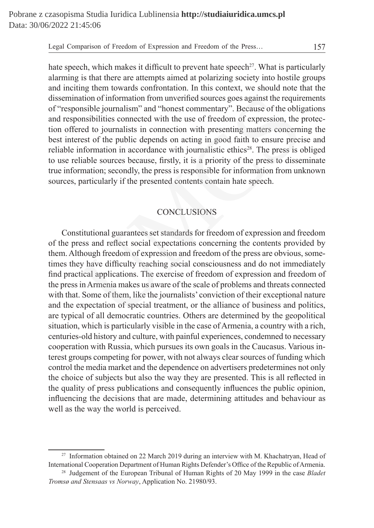hate speech, which makes it difficult to prevent hate speech<sup>27</sup>. What is particularly alarming is that there are attempts aimed at polarizing society into hostile groups and inciting them towards confrontation. In this context, we should note that the dissemination of information from unverified sources goes against the requirements of "responsible journalism" and "honest commentary". Because of the obligations and responsibilities connected with the use of freedom of expression, the protection offered to journalists in connection with presenting matters concerning the best interest of the public depends on acting in good faith to ensure precise and reliable information in accordance with journalistic ethics<sup>28</sup>. The press is obliged to use reliable sources because, firstly, it is a priority of the press to disseminate true information; secondly, the press is responsible for information from unknown sources, particularly if the presented contents contain hate speech.

## **CONCLUSIONS**

Constitutional guarantees set standards for freedom of expression and freedom of the press and reflect social expectations concerning the contents provided by them. Although freedom of expression and freedom of the press are obvious, sometimes they have difficulty reaching social consciousness and do not immediately find practical applications. The exercise of freedom of expression and freedom of the press in Armenia makes us aware of the scale of problems and threats connected with that. Some of them, like the journalists' conviction of their exceptional nature and the expectation of special treatment, or the alliance of business and politics, are typical of all democratic countries. Others are determined by the geopolitical situation, which is particularly visible in the case of Armenia, a country with a rich, centuries-old history and culture, with painful experiences, condemned to necessary cooperation with Russia, which pursues its own goals in the Caucasus. Various interest groups competing for power, with not always clear sources of funding which control the media market and the dependence on advertisers predetermines not only the choice of subjects but also the way they are presented. This is all reflected in the quality of press publications and consequently influences the public opinion, influencing the decisions that are made, determining attitudes and behaviour as well as the way the world is perceived. ation of information from unverified sources goes against the requirensible journalism" and "honest commentary". Because of the obligensibilities connected with the use of freedom of expression, the prest to journalists in

<sup>&</sup>lt;sup>27</sup> Information obtained on 22 March 2019 during an interview with M. Khachatryan, Head of International Cooperation Department of Human Rights Defender's Office of the Republic of Armenia.

<sup>28</sup> Judgement of the European Tribunal of Human Rights of 20 May 1999 in the case *Bladet Tromsø and Stensaas vs Norway*, Application No. 21980/93.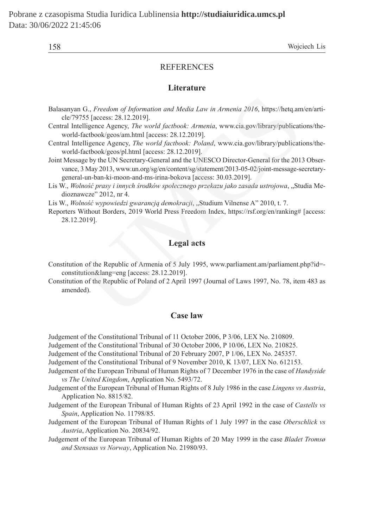#### **REFERENCES**

#### **Literature**

- Balasanyan G., *Freedom of Information and Media Law in Armenia 2016*, https://hetq.am/en/article/79755 [access: 28.12.2019].
- Central Intelligence Agency, *The world factbook: Armenia*, www.cia.gov/library/publications/theworld-factbook/geos/am.html [access: 28.12.2019].
- Central Intelligence Agency, *The world factbook: Poland*, www.cia.gov/library/publications/theworld-factbook/geos/pl.html [access: 28.12.2019].
- Joint Message by the UN Secretary-General and the UNESCO Director-General for the 2013 Observance, 3 May 2013, www.un.org/sg/en/content/sg/statement/2013-05-02/joint-message-secretarygeneral-un-ban-ki-moon-and-ms-irina-bokova [access: 30.03.2019]. n G., *Freedom of Information and Media Law in Armenia 2016*, https://hetq.am<br>
1755 [access: 28.12.2019].<br>
telligence Agency, *The world factbook: Armenia*, www.cia.gov/library/publicati-<br>
factbook/geos/am.html [access: 28
- Lis W., *Wolność prasy i innych środków społecznego przekazu jako zasada ustrojowa*, "Studia Medioznawcze" 2012, nr 4.
- Lis W., *Wolność wypowiedzi gwarancją demokracji*, "Studium Vilnense A" 2010, t. 7.
- Reporters Without Borders, 2019 World Press Freedom Index, https://rsf.org/en/ranking# [access: 28.12.2019].

## **Legal acts**

- Constitution of the Republic of Armenia of 5 July 1995, www.parliament.am/parliament.php?id= constitution&lang=eng [access: 28.12.2019].
- Constitution of the Republic of Poland of 2 April 1997 (Journal of Laws 1997, No. 78, item 483 as amended).

## **Case law**

- Judgement of the Constitutional Tribunal of 11 October 2006, P 3/06, LEX No. 210809.
- Judgement of the Constitutional Tribunal of 30 October 2006, P 10/06, LEX No. 210825.
- Judgement of the Constitutional Tribunal of 20 February 2007, P 1/06, LEX No. 245357.
- Judgement of the Constitutional Tribunal of 9 November 2010, K 13/07, LEX No. 612153.
- Judgement of the European Tribunal of Human Rights of 7 December 1976 in the case of *Handyside vs The United Kingdom*, Application No. 5493/72.
- Judgement of the European Tribunal of Human Rights of 8 July 1986 in the case *Lingens vs Austria*, Application No. 8815/82.
- Judgement of the European Tribunal of Human Rights of 23 April 1992 in the case of *Castells vs Spain*, Application No. 11798/85.
- Judgement of the European Tribunal of Human Rights of 1 July 1997 in the case *Oberschlick vs Austria*, Application No. 20834/92.
- Judgement of the European Tribunal of Human Rights of 20 May 1999 in the case *Bladet Tromsø and Stensaas vs Norway*, Application No. 21980/93.